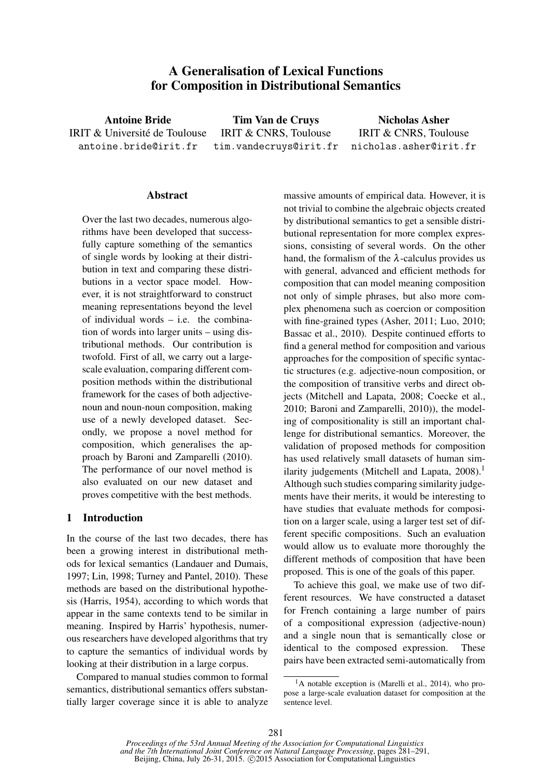# A Generalisation of Lexical Functions for Composition in Distributional Semantics

Antoine Bride IRIT & Université de Toulouse antoine.bride@irit.fr Tim Van de Cruys IRIT & CNRS, Toulouse tim.vandecruys@irit.fr Nicholas Asher IRIT & CNRS, Toulouse nicholas.asher@irit.fr

#### **Abstract**

Over the last two decades, numerous algorithms have been developed that successfully capture something of the semantics of single words by looking at their distribution in text and comparing these distributions in a vector space model. However, it is not straightforward to construct meaning representations beyond the level of individual words  $-$  i.e. the combination of words into larger units – using distributional methods. Our contribution is twofold. First of all, we carry out a largescale evaluation, comparing different composition methods within the distributional framework for the cases of both adjectivenoun and noun-noun composition, making use of a newly developed dataset. Secondly, we propose a novel method for composition, which generalises the approach by Baroni and Zamparelli (2010). The performance of our novel method is also evaluated on our new dataset and proves competitive with the best methods.

### 1 Introduction

In the course of the last two decades, there has been a growing interest in distributional methods for lexical semantics (Landauer and Dumais, 1997; Lin, 1998; Turney and Pantel, 2010). These methods are based on the distributional hypothesis (Harris, 1954), according to which words that appear in the same contexts tend to be similar in meaning. Inspired by Harris' hypothesis, numerous researchers have developed algorithms that try to capture the semantics of individual words by looking at their distribution in a large corpus.

Compared to manual studies common to formal semantics, distributional semantics offers substantially larger coverage since it is able to analyze

massive amounts of empirical data. However, it is not trivial to combine the algebraic objects created by distributional semantics to get a sensible distributional representation for more complex expressions, consisting of several words. On the other hand, the formalism of the  $\lambda$ -calculus provides us with general, advanced and efficient methods for composition that can model meaning composition not only of simple phrases, but also more complex phenomena such as coercion or composition with fine-grained types (Asher, 2011; Luo, 2010; Bassac et al., 2010). Despite continued efforts to find a general method for composition and various approaches for the composition of specific syntactic structures (e.g. adjective-noun composition, or the composition of transitive verbs and direct objects (Mitchell and Lapata, 2008; Coecke et al., 2010; Baroni and Zamparelli, 2010)), the modeling of compositionality is still an important challenge for distributional semantics. Moreover, the validation of proposed methods for composition has used relatively small datasets of human similarity judgements (Mitchell and Lapata,  $2008$ ).<sup>1</sup> Although such studies comparing similarity judgements have their merits, it would be interesting to have studies that evaluate methods for composition on a larger scale, using a larger test set of different specific compositions. Such an evaluation would allow us to evaluate more thoroughly the different methods of composition that have been proposed. This is one of the goals of this paper.

To achieve this goal, we make use of two different resources. We have constructed a dataset for French containing a large number of pairs of a compositional expression (adjective-noun) and a single noun that is semantically close or identical to the composed expression. These pairs have been extracted semi-automatically from

 ${}^{1}$ A notable exception is (Marelli et al., 2014), who propose a large-scale evaluation dataset for composition at the sentence level.

*Proceedings of the 53rd Annual Meeting of the Association for Computational Linguistics and the 7th International Joint Conference on Natural Language Processing*, pages 281–291, Beijing, China, July 26-31, 2015. ©2015 Association for Computational Linguistics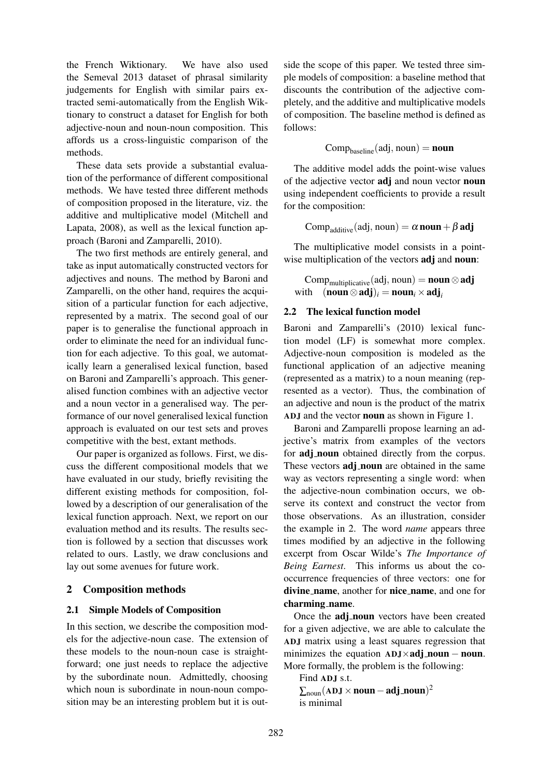the French Wiktionary. We have also used the Semeval 2013 dataset of phrasal similarity judgements for English with similar pairs extracted semi-automatically from the English Wiktionary to construct a dataset for English for both adjective-noun and noun-noun composition. This affords us a cross-linguistic comparison of the methods.

These data sets provide a substantial evaluation of the performance of different compositional methods. We have tested three different methods of composition proposed in the literature, viz. the additive and multiplicative model (Mitchell and Lapata, 2008), as well as the lexical function approach (Baroni and Zamparelli, 2010).

The two first methods are entirely general, and take as input automatically constructed vectors for adjectives and nouns. The method by Baroni and Zamparelli, on the other hand, requires the acquisition of a particular function for each adjective, represented by a matrix. The second goal of our paper is to generalise the functional approach in order to eliminate the need for an individual function for each adjective. To this goal, we automatically learn a generalised lexical function, based on Baroni and Zamparelli's approach. This generalised function combines with an adjective vector and a noun vector in a generalised way. The performance of our novel generalised lexical function approach is evaluated on our test sets and proves competitive with the best, extant methods.

Our paper is organized as follows. First, we discuss the different compositional models that we have evaluated in our study, briefly revisiting the different existing methods for composition, followed by a description of our generalisation of the lexical function approach. Next, we report on our evaluation method and its results. The results section is followed by a section that discusses work related to ours. Lastly, we draw conclusions and lay out some avenues for future work.

### 2 Composition methods

### 2.1 Simple Models of Composition

In this section, we describe the composition models for the adjective-noun case. The extension of these models to the noun-noun case is straightforward; one just needs to replace the adjective by the subordinate noun. Admittedly, choosing which noun is subordinate in noun-noun composition may be an interesting problem but it is outside the scope of this paper. We tested three simple models of composition: a baseline method that discounts the contribution of the adjective completely, and the additive and multiplicative models of composition. The baseline method is defined as follows:

$$
Comp_{baseline}(adj, noun) = \textbf{noun}
$$

The additive model adds the point-wise values of the adjective vector adj and noun vector noun using independent coefficients to provide a result for the composition:

Comp<sub>additive</sub> (adj, noun) =  $\alpha$  noun +  $\beta$  adj

The multiplicative model consists in a pointwise multiplication of the vectors **adi** and **noun**:

 $\mathrm{Comp}_{\mathrm{multiplicative}}(\mathrm{adj}, \mathrm{noun}) = \mathrm{noun} \otimes \mathrm{adj}$ with  $(noun \otimes adj)_i = noun_i \times adj_i$ 

#### 2.2 The lexical function model

Baroni and Zamparelli's (2010) lexical function model (LF) is somewhat more complex. Adjective-noun composition is modeled as the functional application of an adjective meaning (represented as a matrix) to a noun meaning (represented as a vector). Thus, the combination of an adjective and noun is the product of the matrix ADJ and the vector noun as shown in Figure 1.

Baroni and Zamparelli propose learning an adjective's matrix from examples of the vectors for **adj\_noun** obtained directly from the corpus. These vectors **adj\_noun** are obtained in the same way as vectors representing a single word: when the adjective-noun combination occurs, we observe its context and construct the vector from those observations. As an illustration, consider the example in 2. The word *name* appears three times modified by an adjective in the following excerpt from Oscar Wilde's *The Importance of Being Earnest*. This informs us about the cooccurrence frequencies of three vectors: one for divine name, another for nice name, and one for charming name.

Once the **adj\_noun** vectors have been created for a given adjective, we are able to calculate the ADJ matrix using a least squares regression that minimizes the equation  $ADJ \times adi$  noun – noun. More formally, the problem is the following:

```
Find ADJ s.t.
\sum_{\text{noun}} (\text{ADJ} \times \text{noun} - \text{adj} \text{__noun})^2is minimal
```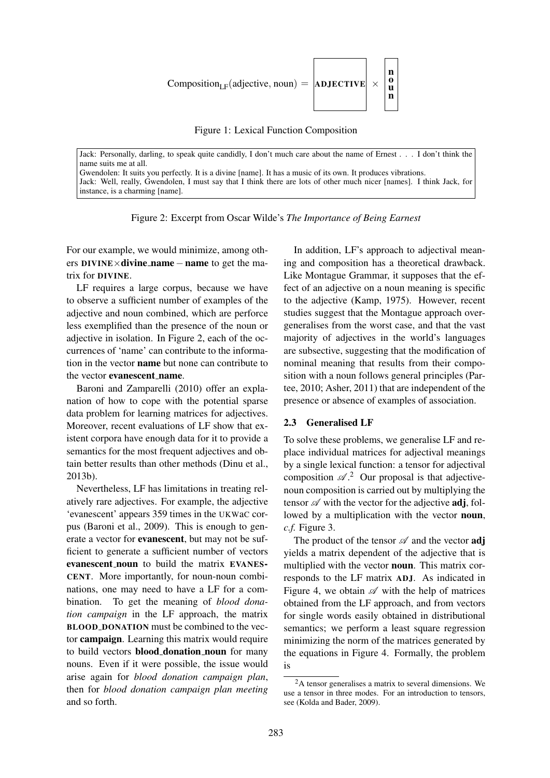

Figure 1: Lexical Function Composition

Jack: Personally, darling, to speak quite candidly, I don't much care about the name of Ernest . . . I don't think the name suits me at all. Gwendolen: It suits you perfectly. It is a divine [name]. It has a music of its own. It produces vibrations. Jack: Well, really, Gwendolen, I must say that I think there are lots of other much nicer [names]. I think Jack, for instance, is a charming [name].

Figure 2: Excerpt from Oscar Wilde's *The Importance of Being Earnest*

For our example, we would minimize, among others DIVINE×divine name−name to get the matrix for DIVINE.

LF requires a large corpus, because we have to observe a sufficient number of examples of the adjective and noun combined, which are perforce less exemplified than the presence of the noun or adjective in isolation. In Figure 2, each of the occurrences of 'name' can contribute to the information in the vector name but none can contribute to the vector evanescent\_name.

Baroni and Zamparelli (2010) offer an explanation of how to cope with the potential sparse data problem for learning matrices for adjectives. Moreover, recent evaluations of LF show that existent corpora have enough data for it to provide a semantics for the most frequent adjectives and obtain better results than other methods (Dinu et al., 2013b).

Nevertheless, LF has limitations in treating relatively rare adjectives. For example, the adjective 'evanescent' appears 359 times in the UKWaC corpus (Baroni et al., 2009). This is enough to generate a vector for evanescent, but may not be sufficient to generate a sufficient number of vectors evanescent noun to build the matrix EVANES-CENT. More importantly, for noun-noun combinations, one may need to have a LF for a combination. To get the meaning of *blood donation campaign* in the LF approach, the matrix BLOOD DONATION must be combined to the vector campaign. Learning this matrix would require to build vectors blood donation noun for many nouns. Even if it were possible, the issue would arise again for *blood donation campaign plan*, then for *blood donation campaign plan meeting* and so forth.

In addition, LF's approach to adjectival meaning and composition has a theoretical drawback. Like Montague Grammar, it supposes that the effect of an adjective on a noun meaning is specific to the adjective (Kamp, 1975). However, recent studies suggest that the Montague approach overgeneralises from the worst case, and that the vast majority of adjectives in the world's languages are subsective, suggesting that the modification of nominal meaning that results from their composition with a noun follows general principles (Partee, 2010; Asher, 2011) that are independent of the presence or absence of examples of association.

### 2.3 Generalised LF

To solve these problems, we generalise LF and replace individual matrices for adjectival meanings by a single lexical function: a tensor for adjectival composition  $\mathscr{A}$ .<sup>2</sup> Our proposal is that adjectivenoun composition is carried out by multiplying the tensor  $\mathscr A$  with the vector for the adjective **adj**, followed by a multiplication with the vector noun, *c.f.* Figure 3.

The product of the tensor  $\mathscr A$  and the vector **adj** yields a matrix dependent of the adjective that is multiplied with the vector noun. This matrix corresponds to the LF matrix ADJ. As indicated in Figure 4, we obtain  $\mathscr A$  with the help of matrices obtained from the LF approach, and from vectors for single words easily obtained in distributional semantics; we perform a least square regression minimizing the norm of the matrices generated by the equations in Figure 4. Formally, the problem is

<sup>2</sup>A tensor generalises a matrix to several dimensions. We use a tensor in three modes. For an introduction to tensors, see (Kolda and Bader, 2009).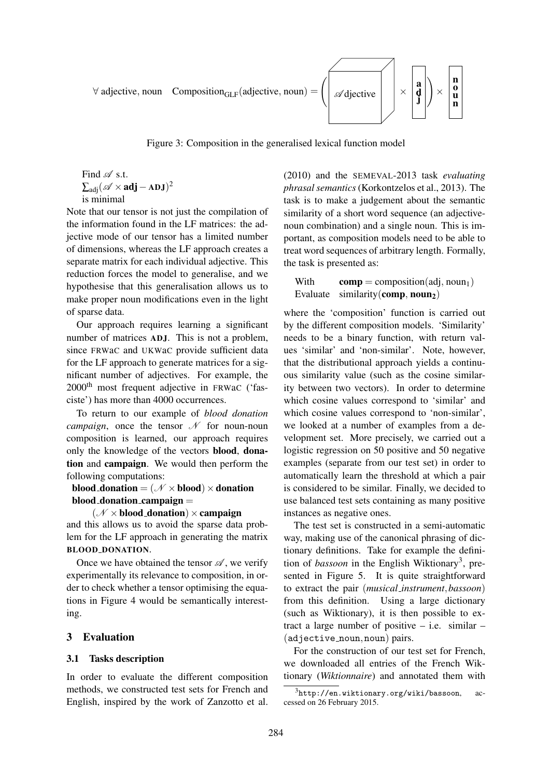

Figure 3: Composition in the generalised lexical function model

Find 
$$
\mathscr{A}
$$
 s.t.  
 $\sum_{\text{adj}} (\mathscr{A} \times \text{adj} - \text{ADJ})^2$   
is minimal

Note that our tensor is not just the compilation of the information found in the LF matrices: the adjective mode of our tensor has a limited number of dimensions, whereas the LF approach creates a separate matrix for each individual adjective. This reduction forces the model to generalise, and we hypothesise that this generalisation allows us to make proper noun modifications even in the light of sparse data.

Our approach requires learning a significant number of matrices ADJ. This is not a problem, since FRWaC and UKWaC provide sufficient data for the LF approach to generate matrices for a significant number of adjectives. For example, the 2000th most frequent adjective in FRWa<sup>C</sup> ('fasciste') has more than 4000 occurrences.

To return to our example of *blood donation campaign*, once the tensor  $\mathcal N$  for noun-noun composition is learned, our approach requires only the knowledge of the vectors blood, donation and campaign. We would then perform the following computations:

blood\_donation =  $(\mathcal{N} \times \text{blood}) \times \text{domain}$ blood\_donation\_campaign =

 $(\mathscr{N} \times \text{blood\_domain}) \times \text{canonical}$ 

and this allows us to avoid the sparse data problem for the LF approach in generating the matrix BLOOD DONATION.

Once we have obtained the tensor  $\mathscr A$ , we verify experimentally its relevance to composition, in order to check whether a tensor optimising the equations in Figure 4 would be semantically interesting.

### 3 Evaluation

#### 3.1 Tasks description

In order to evaluate the different composition methods, we constructed test sets for French and English, inspired by the work of Zanzotto et al.

(2010) and the SEMEVAL-2013 task *evaluating phrasal semantics*(Korkontzelos et al., 2013). The task is to make a judgement about the semantic similarity of a short word sequence (an adjectivenoun combination) and a single noun. This is important, as composition models need to be able to treat word sequences of arbitrary length. Formally, the task is presented as:

### With comp = composition(adj, noun<sub>1</sub>) Evaluate similarity(comp, noun<sub>2</sub>)

where the 'composition' function is carried out by the different composition models. 'Similarity' needs to be a binary function, with return values 'similar' and 'non-similar'. Note, however, that the distributional approach yields a continuous similarity value (such as the cosine similarity between two vectors). In order to determine which cosine values correspond to 'similar' and which cosine values correspond to 'non-similar', we looked at a number of examples from a development set. More precisely, we carried out a logistic regression on 50 positive and 50 negative examples (separate from our test set) in order to automatically learn the threshold at which a pair is considered to be similar. Finally, we decided to use balanced test sets containing as many positive instances as negative ones.

The test set is constructed in a semi-automatic way, making use of the canonical phrasing of dictionary definitions. Take for example the definition of *bassoon* in the English Wiktionary<sup>3</sup>, presented in Figure 5. It is quite straightforward to extract the pair (*musical instrument*,*bassoon*) from this definition. Using a large dictionary (such as Wiktionary), it is then possible to extract a large number of positive – i.e. similar – (adjective\_noun, noun) pairs.

For the construction of our test set for French, we downloaded all entries of the French Wiktionary (*Wiktionnaire*) and annotated them with

 $^3$ http://en.wiktionary.org/wiki/bassoon, accessed on 26 February 2015.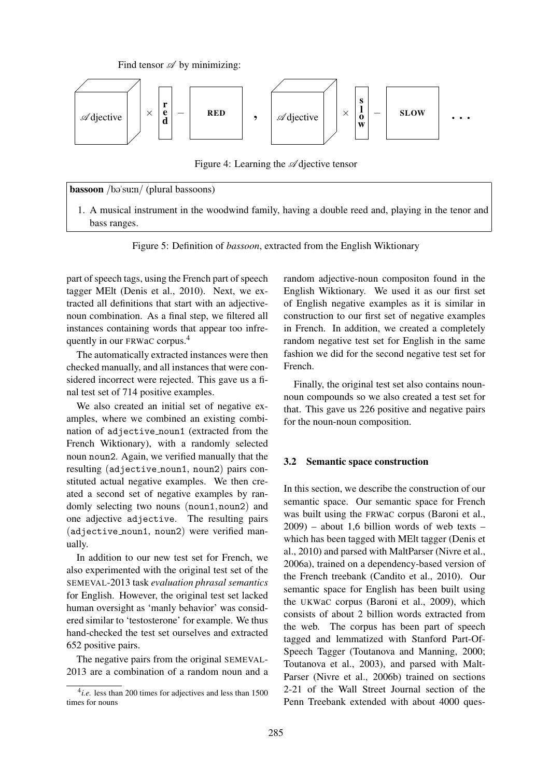

Figure 4: Learning the  $\mathscr A$  djective tensor

### **bassoon**  $/b\varphi'$ su:n/ (plural bassoons)

1. A musical instrument in the woodwind family, having a double reed and, playing in the tenor and bass ranges.

Figure 5: Definition of *bassoon*, extracted from the English Wiktionary

part of speech tags, using the French part of speech tagger MElt (Denis et al., 2010). Next, we extracted all definitions that start with an adjectivenoun combination. As a final step, we filtered all instances containing words that appear too infrequently in our FRWa<sup>C</sup> corpus.<sup>4</sup>

The automatically extracted instances were then checked manually, and all instances that were considered incorrect were rejected. This gave us a final test set of 714 positive examples.

We also created an initial set of negative examples, where we combined an existing combination of adjective noun1 (extracted from the French Wiktionary), with a randomly selected noun noun2. Again, we verified manually that the resulting (adjective noun1, noun2) pairs constituted actual negative examples. We then created a second set of negative examples by randomly selecting two nouns (noun1,noun2) and one adjective adjective. The resulting pairs (adjective noun1, noun2) were verified manually.

In addition to our new test set for French, we also experimented with the original test set of the SEMEVAL-2013 task *evaluation phrasal semantics* for English. However, the original test set lacked human oversight as 'manly behavior' was considered similar to 'testosterone' for example. We thus hand-checked the test set ourselves and extracted 652 positive pairs.

The negative pairs from the original SEMEVAL-2013 are a combination of a random noun and a random adjective-noun compositon found in the English Wiktionary. We used it as our first set of English negative examples as it is similar in construction to our first set of negative examples in French. In addition, we created a completely random negative test set for English in the same fashion we did for the second negative test set for French.

Finally, the original test set also contains nounnoun compounds so we also created a test set for that. This gave us 226 positive and negative pairs for the noun-noun composition.

#### 3.2 Semantic space construction

In this section, we describe the construction of our semantic space. Our semantic space for French was built using the FRWaC corpus (Baroni et al.,  $2009$ ) – about 1,6 billion words of web texts – which has been tagged with MElt tagger (Denis et al., 2010) and parsed with MaltParser (Nivre et al., 2006a), trained on a dependency-based version of the French treebank (Candito et al., 2010). Our semantic space for English has been built using the UKWaC corpus (Baroni et al., 2009), which consists of about 2 billion words extracted from the web. The corpus has been part of speech tagged and lemmatized with Stanford Part-Of-Speech Tagger (Toutanova and Manning, 2000; Toutanova et al., 2003), and parsed with Malt-Parser (Nivre et al., 2006b) trained on sections 2-21 of the Wall Street Journal section of the Penn Treebank extended with about 4000 ques-

 $4$ *i.e.* less than 200 times for adjectives and less than 1500 times for nouns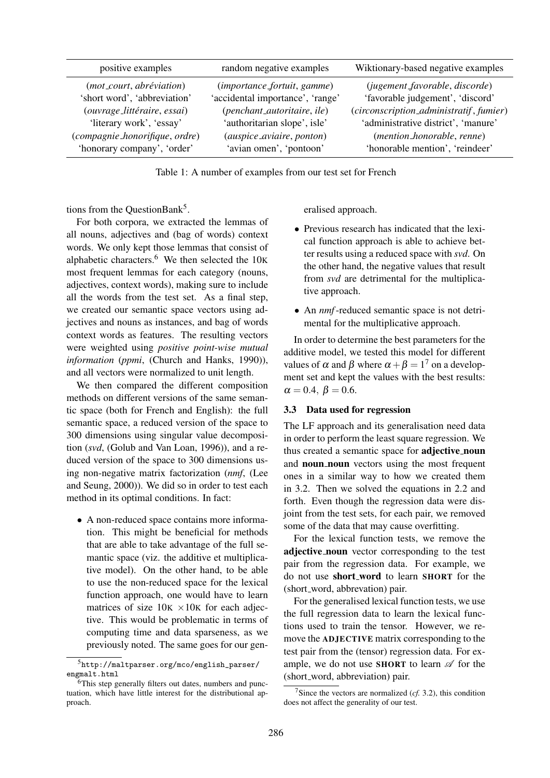| positive examples              | random negative examples         | Wiktionary-based negative examples      |
|--------------------------------|----------------------------------|-----------------------------------------|
| (mot_court, abréviation)       | (importance_fortuit, gamme)      | (jugement_favorable, discorde)          |
| 'short word', 'abbreviation'   | 'accidental importance', 'range' | 'favorable judgement', 'discord'        |
| (ouvrage_littéraire, essai)    | (penchant_autoritaire, ile)      | (circonscription_administratif, fumier) |
| 'literary work', 'essay'       | 'authoritarian slope', isle'     | 'administrative district', 'manure'     |
| (compagnie_honorifique, ordre) | (auspice_aviaire, ponton)        | (mention_honorable, renne)              |
| 'honorary company', 'order'    | 'avian omen', 'pontoon'          | 'honorable mention', 'reindeer'         |

Table 1: A number of examples from our test set for French

tions from the QuestionBank<sup>5</sup>.

For both corpora, we extracted the lemmas of all nouns, adjectives and (bag of words) context words. We only kept those lemmas that consist of alphabetic characters.<sup>6</sup> We then selected the 10<sup>K</sup> most frequent lemmas for each category (nouns, adjectives, context words), making sure to include all the words from the test set. As a final step, we created our semantic space vectors using adjectives and nouns as instances, and bag of words context words as features. The resulting vectors were weighted using *positive point-wise mutual information* (*ppmi*, (Church and Hanks, 1990)), and all vectors were normalized to unit length.

We then compared the different composition methods on different versions of the same semantic space (both for French and English): the full semantic space, a reduced version of the space to 300 dimensions using singular value decomposition (*svd*, (Golub and Van Loan, 1996)), and a reduced version of the space to 300 dimensions using non-negative matrix factorization (*nmf*, (Lee and Seung, 2000)). We did so in order to test each method in its optimal conditions. In fact:

• A non-reduced space contains more information. This might be beneficial for methods that are able to take advantage of the full semantic space (viz. the additive et multiplicative model). On the other hand, to be able to use the non-reduced space for the lexical function approach, one would have to learn matrices of size  $10K \times 10K$  for each adjective. This would be problematic in terms of computing time and data sparseness, as we previously noted. The same goes for our generalised approach.

- Previous research has indicated that the lexical function approach is able to achieve better results using a reduced space with *svd*. On the other hand, the negative values that result from *svd* are detrimental for the multiplicative approach.
- An *nmf*-reduced semantic space is not detrimental for the multiplicative approach.

In order to determine the best parameters for the additive model, we tested this model for different values of  $\alpha$  and  $\beta$  where  $\alpha + \beta = 1^7$  on a development set and kept the values with the best results:  $\alpha = 0.4, \beta = 0.6.$ 

### 3.3 Data used for regression

The LF approach and its generalisation need data in order to perform the least square regression. We thus created a semantic space for **adjective\_noun** and **noun\_noun** vectors using the most frequent ones in a similar way to how we created them in 3.2. Then we solved the equations in 2.2 and forth. Even though the regression data were disjoint from the test sets, for each pair, we removed some of the data that may cause overfitting.

For the lexical function tests, we remove the adjective noun vector corresponding to the test pair from the regression data. For example, we do not use short word to learn SHORT for the (short word, abbrevation) pair.

For the generalised lexical function tests, we use the full regression data to learn the lexical functions used to train the tensor. However, we remove the ADJECTIVE matrix corresponding to the test pair from the (tensor) regression data. For example, we do not use **SHORT** to learn  $\mathscr A$  for the (short word, abbreviation) pair.

<sup>5</sup>http://maltparser.org/mco/english\_parser/ engmalt.html

 $6$ This step generally filters out dates, numbers and punctuation, which have little interest for the distributional approach.

<sup>&</sup>lt;sup>7</sup>Since the vectors are normalized  $(cf. 3.2)$ , this condition does not affect the generality of our test.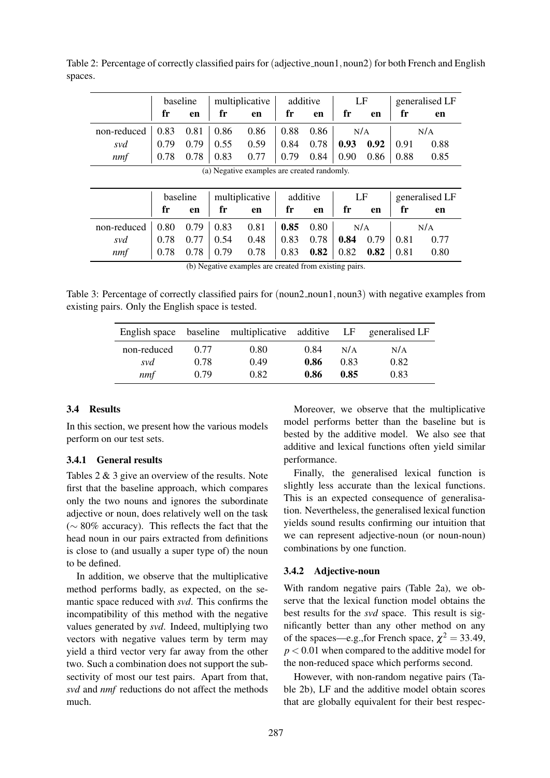|                                             |          | baseline |                | multiplicative |          | additive |      | LF   |                | generalised LF |
|---------------------------------------------|----------|----------|----------------|----------------|----------|----------|------|------|----------------|----------------|
|                                             | fr       | en       | fr             | en             | fr       | en       | fr   | en   | fr             | en             |
| non-reduced                                 | 0.83     | 0.81     | 0.86           | 0.86           | 0.88     | 0.86     | N/A  |      | N/A            |                |
| svd                                         | 0.79     | 0.79     | 0.55           | 0.59           | 0.84     | 0.78     | 0.93 | 0.92 | 0.91           | 0.88           |
| nmf                                         | 0.78     | 0.78     | 0.83           | 0.77           | 0.79     | 0.84     | 0.90 | 0.86 | 0.88           | 0.85           |
| (a) Negative examples are created randomly. |          |          |                |                |          |          |      |      |                |                |
|                                             |          |          |                |                |          |          |      |      |                |                |
|                                             | baseline |          | multiplicative |                | additive |          | LF   |      | generalised LF |                |
|                                             | fr       | en       | fr             | en             | fr       | en       | fr   | en   | fr             | en             |
| non-reduced                                 | 0.80     | 0.79     | 0.83           | 0.81           | 0.85     | 0.80     | N/A  |      | N/A            |                |
| svd                                         | 0.78     | 0.77     | 0.54           | 0.48           | 0.83     | 0.78     | 0.84 | 0.79 | 0.81           | 0.77           |
| nmf                                         | 0.78     | 0.78     | 0.79           | 0.78           | 0.83     | 0.82     | 0.82 | 0.82 | 0.81           | 0.80           |

Table 2: Percentage of correctly classified pairs for (adjective noun1, noun2) for both French and English spaces.

(b) Negative examples are created from existing pairs.

Table 3: Percentage of correctly classified pairs for (noun2 noun1,noun3) with negative examples from existing pairs. Only the English space is tested.

|             |      | English space baseline multiplicative additive LF |      |      | generalised LF |
|-------------|------|---------------------------------------------------|------|------|----------------|
| non-reduced | 0.77 | 0.80                                              | 0.84 | N/A  | N/A            |
| svd         | 0.78 | 0.49                                              | 0.86 | 0.83 | 0.82           |
| nmf         | 0.79 | 0.82                                              | 0.86 | 0.85 | 0.83           |

### 3.4 Results

In this section, we present how the various models perform on our test sets.

## 3.4.1 General results

Tables 2 & 3 give an overview of the results. Note first that the baseline approach, which compares only the two nouns and ignores the subordinate adjective or noun, does relatively well on the task (∼ 80% accuracy). This reflects the fact that the head noun in our pairs extracted from definitions is close to (and usually a super type of) the noun to be defined.

In addition, we observe that the multiplicative method performs badly, as expected, on the semantic space reduced with *svd*. This confirms the incompatibility of this method with the negative values generated by *svd*. Indeed, multiplying two vectors with negative values term by term may yield a third vector very far away from the other two. Such a combination does not support the subsectivity of most our test pairs. Apart from that, *svd* and *nmf* reductions do not affect the methods much.

Moreover, we observe that the multiplicative model performs better than the baseline but is bested by the additive model. We also see that additive and lexical functions often yield similar performance.

Finally, the generalised lexical function is slightly less accurate than the lexical functions. This is an expected consequence of generalisation. Nevertheless, the generalised lexical function yields sound results confirming our intuition that we can represent adjective-noun (or noun-noun) combinations by one function.

### 3.4.2 Adjective-noun

With random negative pairs (Table 2a), we observe that the lexical function model obtains the best results for the *svd* space. This result is significantly better than any other method on any of the spaces—e.g.,for French space,  $\chi^2 = 33.49$ , *p* < 0.01 when compared to the additive model for the non-reduced space which performs second.

However, with non-random negative pairs (Table 2b), LF and the additive model obtain scores that are globally equivalent for their best respec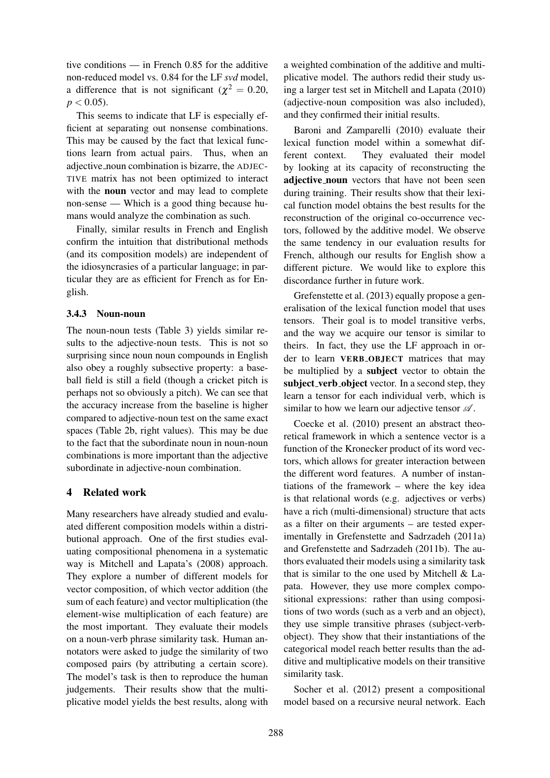tive conditions — in French 0.85 for the additive non-reduced model vs. 0.84 for the LF *svd* model, a difference that is not significant ( $\chi^2 = 0.20$ ,  $p < 0.05$ ).

This seems to indicate that LF is especially efficient at separating out nonsense combinations. This may be caused by the fact that lexical functions learn from actual pairs. Thus, when an adjective noun combination is bizarre, the ADJEC-TIVE matrix has not been optimized to interact with the **noun** vector and may lead to complete non-sense — Which is a good thing because humans would analyze the combination as such.

Finally, similar results in French and English confirm the intuition that distributional methods (and its composition models) are independent of the idiosyncrasies of a particular language; in particular they are as efficient for French as for English.

### 3.4.3 Noun-noun

The noun-noun tests (Table 3) yields similar results to the adjective-noun tests. This is not so surprising since noun noun compounds in English also obey a roughly subsective property: a baseball field is still a field (though a cricket pitch is perhaps not so obviously a pitch). We can see that the accuracy increase from the baseline is higher compared to adjective-noun test on the same exact spaces (Table 2b, right values). This may be due to the fact that the subordinate noun in noun-noun combinations is more important than the adjective subordinate in adjective-noun combination.

### 4 Related work

Many researchers have already studied and evaluated different composition models within a distributional approach. One of the first studies evaluating compositional phenomena in a systematic way is Mitchell and Lapata's (2008) approach. They explore a number of different models for vector composition, of which vector addition (the sum of each feature) and vector multiplication (the element-wise multiplication of each feature) are the most important. They evaluate their models on a noun-verb phrase similarity task. Human annotators were asked to judge the similarity of two composed pairs (by attributing a certain score). The model's task is then to reproduce the human judgements. Their results show that the multiplicative model yields the best results, along with

a weighted combination of the additive and multiplicative model. The authors redid their study using a larger test set in Mitchell and Lapata (2010) (adjective-noun composition was also included), and they confirmed their initial results.

Baroni and Zamparelli (2010) evaluate their lexical function model within a somewhat different context. They evaluated their model by looking at its capacity of reconstructing the adjective\_noun vectors that have not been seen during training. Their results show that their lexical function model obtains the best results for the reconstruction of the original co-occurrence vectors, followed by the additive model. We observe the same tendency in our evaluation results for French, although our results for English show a different picture. We would like to explore this discordance further in future work.

Grefenstette et al. (2013) equally propose a generalisation of the lexical function model that uses tensors. Their goal is to model transitive verbs, and the way we acquire our tensor is similar to theirs. In fact, they use the LF approach in order to learn VERB OBJECT matrices that may be multiplied by a subject vector to obtain the subject\_verb\_object vector. In a second step, they learn a tensor for each individual verb, which is similar to how we learn our adjective tensor  $\mathscr A$ .

Coecke et al. (2010) present an abstract theoretical framework in which a sentence vector is a function of the Kronecker product of its word vectors, which allows for greater interaction between the different word features. A number of instantiations of the framework – where the key idea is that relational words (e.g. adjectives or verbs) have a rich (multi-dimensional) structure that acts as a filter on their arguments – are tested experimentally in Grefenstette and Sadrzadeh (2011a) and Grefenstette and Sadrzadeh (2011b). The authors evaluated their models using a similarity task that is similar to the one used by Mitchell  $& La$ pata. However, they use more complex compositional expressions: rather than using compositions of two words (such as a verb and an object), they use simple transitive phrases (subject-verbobject). They show that their instantiations of the categorical model reach better results than the additive and multiplicative models on their transitive similarity task.

Socher et al. (2012) present a compositional model based on a recursive neural network. Each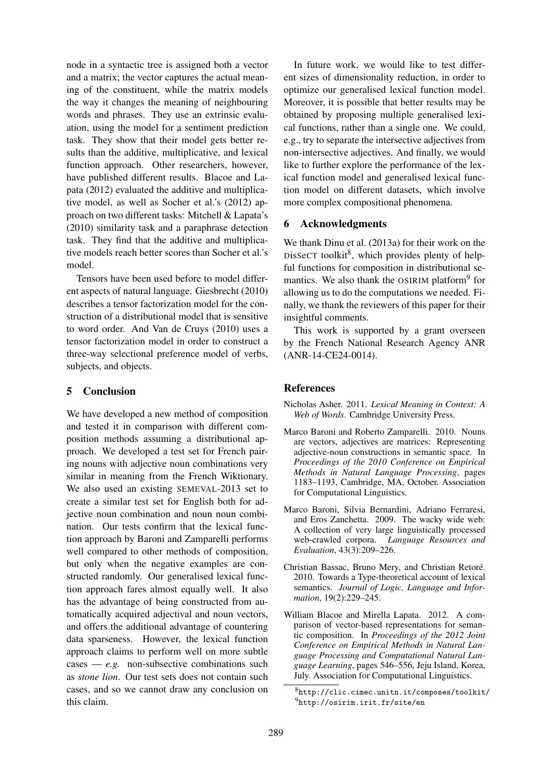node in a syntactic tree is assigned both a vector and a matrix; the vector captures the actual meaning of the constituent, while the matrix models the way it changes the meaning of neighbouring words and phrases. They use an extrinsic evaluation, using the model for a sentiment prediction task. They show that their model gets better results than the additive, multiplicative, and lexical function approach. Other researchers, however, have published different results. Blacoe and Lapata (2012) evaluated the additive and multiplicative model, as well as Socher et al.'s (2012) approach on two different tasks: Mitchell & Lapata's (2010) similarity task and a paraphrase detection task. They find that the additive and multiplicative models reach better scores than Socher et al.'s model.

Tensors have been used before to model different aspects of natural language. Giesbrecht (2010) describes a tensor factorization model for the construction of a distributional model that is sensitive to word order. And Van de Cruys (2010) uses a tensor factorization model in order to construct a three-way selectional preference model of verbs, subjects, and objects.

# 5 Conclusion

We have developed a new method of composition and tested it in comparison with different composition methods assuming a distributional approach. We developed a test set for French pairing nouns with adjective noun combinations very similar in meaning from the French Wiktionary. We also used an existing SEMEVAL-2013 set to create a similar test set for English both for adjective noun combination and noun noun combination. Our tests confirm that the lexical function approach by Baroni and Zamparelli performs well compared to other methods of composition, but only when the negative examples are constructed randomly. Our generalised lexical function approach fares almost equally well. It also has the advantage of being constructed from automatically acquired adjectival and noun vectors, and offers the additional advantage of countering data sparseness. However, the lexical function approach claims to perform well on more subtle cases — *e.g.* non-subsective combinations such as *stone lion*. Our test sets does not contain such cases, and so we cannot draw any conclusion on this claim.

In future work, we would like to test different sizes of dimensionality reduction, in order to optimize our generalised lexical function model. Moreover, it is possible that better results may be obtained by proposing multiple generalised lexical functions, rather than a single one. We could, e.g., try to separate the intersective adjectives from non-intersective adjectives. And finally, we would like to further explore the performance of the lexical function model and generalised lexical function model on different datasets, which involve more complex compositional phenomena.

### 6 Acknowledgments

We thank Dinu et al. (2013a) for their work on the DisSeCT toolkit<sup>8</sup>, which provides plenty of helpful functions for composition in distributional semantics. We also thank the OSIRIM platform<sup>9</sup> for allowing us to do the computations we needed. Finally, we thank the reviewers of this paper for their insightful comments.

This work is supported by a grant overseen by the French National Research Agency ANR (ANR-14-CE24-0014).

# References

- Nicholas Asher. 2011. *Lexical Meaning in Context: A Web of Words*. Cambridge University Press.
- Marco Baroni and Roberto Zamparelli. 2010. Nouns are vectors, adjectives are matrices: Representing adjective-noun constructions in semantic space. In *Proceedings of the 2010 Conference on Empirical Methods in Natural Language Processing*, pages 1183–1193, Cambridge, MA, October. Association for Computational Linguistics.
- Marco Baroni, Silvia Bernardini, Adriano Ferraresi, and Eros Zanchetta. 2009. The wacky wide web: A collection of very large linguistically processed web-crawled corpora. *Language Resources and Evaluation*, 43(3):209–226.
- Christian Bassac, Bruno Mery, and Christian Retore.´ 2010. Towards a Type-theoretical account of lexical semantics. *Journal of Logic, Language and Information*, 19(2):229–245.
- William Blacoe and Mirella Lapata. 2012. A comparison of vector-based representations for semantic composition. In *Proceedings of the 2012 Joint Conference on Empirical Methods in Natural Language Processing and Computational Natural Language Learning*, pages 546–556, Jeju Island, Korea, July. Association for Computational Linguistics.

<sup>8</sup>http://clic.cimec.unitn.it/composes/toolkit/ <sup>9</sup>http://osirim.irit.fr/site/en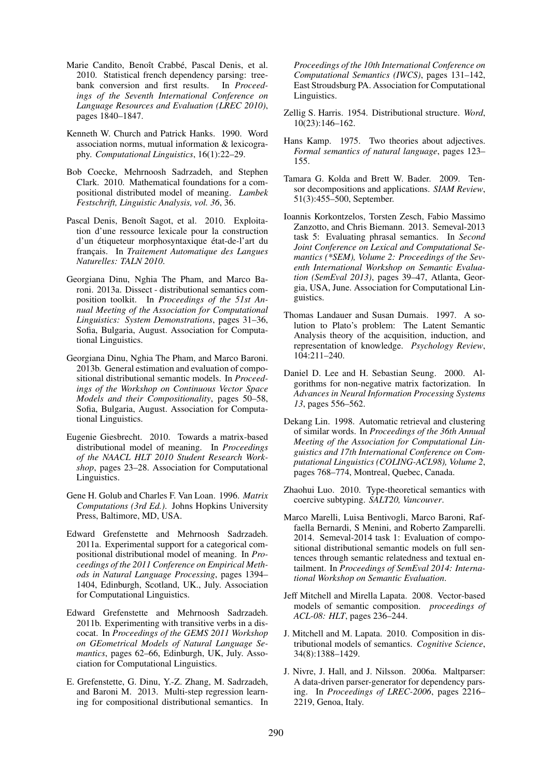- Marie Candito, Benoît Crabbé, Pascal Denis, et al. 2010. Statistical french dependency parsing: treebank conversion and first results. In *Proceedings of the Seventh International Conference on Language Resources and Evaluation (LREC 2010)*, pages 1840–1847.
- Kenneth W. Church and Patrick Hanks. 1990. Word association norms, mutual information & lexicography. *Computational Linguistics*, 16(1):22–29.
- Bob Coecke, Mehrnoosh Sadrzadeh, and Stephen Clark. 2010. Mathematical foundations for a compositional distributed model of meaning. *Lambek Festschrift, Linguistic Analysis, vol. 36*, 36.
- Pascal Denis, Benoît Sagot, et al. 2010. Exploitation d'une ressource lexicale pour la construction d'un étiqueteur morphosyntaxique état-de-l'art du français. In *Traitement Automatique des Langues Naturelles: TALN 2010*.
- Georgiana Dinu, Nghia The Pham, and Marco Baroni. 2013a. Dissect - distributional semantics composition toolkit. In *Proceedings of the 51st Annual Meeting of the Association for Computational Linguistics: System Demonstrations*, pages 31–36, Sofia, Bulgaria, August. Association for Computational Linguistics.
- Georgiana Dinu, Nghia The Pham, and Marco Baroni. 2013b. General estimation and evaluation of compositional distributional semantic models. In *Proceedings of the Workshop on Continuous Vector Space Models and their Compositionality*, pages 50–58, Sofia, Bulgaria, August. Association for Computational Linguistics.
- Eugenie Giesbrecht. 2010. Towards a matrix-based distributional model of meaning. In *Proceedings of the NAACL HLT 2010 Student Research Workshop*, pages 23–28. Association for Computational Linguistics.
- Gene H. Golub and Charles F. Van Loan. 1996. *Matrix Computations (3rd Ed.)*. Johns Hopkins University Press, Baltimore, MD, USA.
- Edward Grefenstette and Mehrnoosh Sadrzadeh. 2011a. Experimental support for a categorical compositional distributional model of meaning. In *Proceedings of the 2011 Conference on Empirical Methods in Natural Language Processing*, pages 1394– 1404, Edinburgh, Scotland, UK., July. Association for Computational Linguistics.
- Edward Grefenstette and Mehrnoosh Sadrzadeh. 2011b. Experimenting with transitive verbs in a discocat. In *Proceedings of the GEMS 2011 Workshop on GEometrical Models of Natural Language Semantics*, pages 62–66, Edinburgh, UK, July. Association for Computational Linguistics.
- E. Grefenstette, G. Dinu, Y.-Z. Zhang, M. Sadrzadeh, and Baroni M. 2013. Multi-step regression learning for compositional distributional semantics. In

*Proceedings of the 10th International Conference on Computational Semantics (IWCS)*, pages 131–142, East Stroudsburg PA. Association for Computational Linguistics.

- Zellig S. Harris. 1954. Distributional structure. *Word*, 10(23):146–162.
- Hans Kamp. 1975. Two theories about adjectives. *Formal semantics of natural language*, pages 123– 155.
- Tamara G. Kolda and Brett W. Bader. 2009. Tensor decompositions and applications. *SIAM Review*, 51(3):455–500, September.
- Ioannis Korkontzelos, Torsten Zesch, Fabio Massimo Zanzotto, and Chris Biemann. 2013. Semeval-2013 task 5: Evaluating phrasal semantics. In *Second Joint Conference on Lexical and Computational Semantics (\*SEM), Volume 2: Proceedings of the Seventh International Workshop on Semantic Evaluation (SemEval 2013)*, pages 39–47, Atlanta, Georgia, USA, June. Association for Computational Linguistics.
- Thomas Landauer and Susan Dumais. 1997. A solution to Plato's problem: The Latent Semantic Analysis theory of the acquisition, induction, and representation of knowledge. *Psychology Review*, 104:211–240.
- Daniel D. Lee and H. Sebastian Seung. 2000. Algorithms for non-negative matrix factorization. In *Advances in Neural Information Processing Systems 13*, pages 556–562.
- Dekang Lin. 1998. Automatic retrieval and clustering of similar words. In *Proceedings of the 36th Annual Meeting of the Association for Computational Linguistics and 17th International Conference on Computational Linguistics (COLING-ACL98), Volume 2*, pages 768–774, Montreal, Quebec, Canada.
- Zhaohui Luo. 2010. Type-theoretical semantics with coercive subtyping. *SALT20, Vancouver*.
- Marco Marelli, Luisa Bentivogli, Marco Baroni, Raffaella Bernardi, S Menini, and Roberto Zamparelli. 2014. Semeval-2014 task 1: Evaluation of compositional distributional semantic models on full sentences through semantic relatedness and textual entailment. In *Proceedings of SemEval 2014: International Workshop on Semantic Evaluation*.
- Jeff Mitchell and Mirella Lapata. 2008. Vector-based models of semantic composition. *proceedings of ACL-08: HLT*, pages 236–244.
- J. Mitchell and M. Lapata. 2010. Composition in distributional models of semantics. *Cognitive Science*, 34(8):1388–1429.
- J. Nivre, J. Hall, and J. Nilsson. 2006a. Maltparser: A data-driven parser-generator for dependency parsing. In *Proceedings of LREC-2006*, pages 2216– 2219, Genoa, Italy.